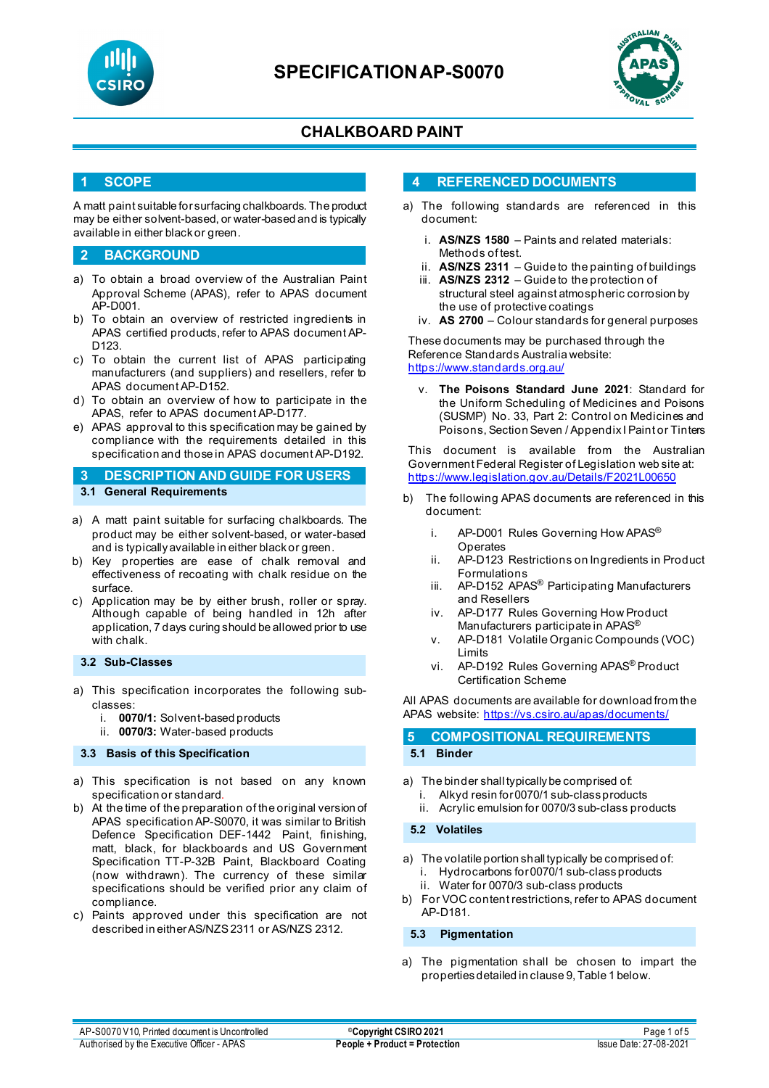

# **SPECIFICATIONAP-S0070**



## **CHALKBOARD PAINT**

#### **1 SCOPE**

A matt paint suitable for surfacing chalkboards. The product may be either solvent-based, or water-based and is typically available in either black or green.

#### **2 BACKGROUND**

- a) To obtain a broad overview of the Australian Paint Approval Scheme (APAS), refer to APAS document AP-D001.
- b) To obtain an overview of restricted ingredients in APAS certified products, refer to APAS document AP-D123.
- c) To obtain the current list of APAS participating manufacturers (and suppliers) and resellers, refer to APAS document AP-D152.
- d) To obtain an overview of how to participate in the APAS, refer to APAS document AP-D177.
- e) APAS approval to this specification may be gained by compliance with the requirements detailed in this specification and those in APAS document AP-D192.

**3 DESCRIPTION AND GUIDE FOR USERS 3.1 General Requirements**

- a) A matt paint suitable for surfacing chalkboards. The product may be either solvent-based, or water-based and is typically available in either black or green.
- b) Key properties are ease of chalk removal and effectiveness of recoating with chalk residue on the surface.
- c) Application may be by either brush, roller or spray. Although capable of being handled in 12h after application, 7 days curing should be allowed prior to use with chalk.

#### **3.2 Sub-Classes**

- a) This specification incorporates the following subclasses:
	- i. **0070/1:** Solvent-based products
	- ii. **0070/3:** Water-based products

#### **3.3 Basis of this Specification**

- a) This specification is not based on any known specification or standard.
- b) At the time of the preparation of the original version of APAS specification AP-S0070, it was similar to British Defence Specification DEF-1442 Paint, finishing, matt, black, for blackboards and US Government Specification TT-P-32B Paint, Blackboard Coating (now withdrawn). The currency of these similar specifications should be verified prior any claim of compliance.
- c) Paints approved under this specification are not described in either AS/NZS 2311 or AS/NZS 2312.

#### **4 REFERENCED DOCUMENTS**

- a) The following standards are referenced in this document:
	- i. **AS/NZS 1580** Paints and related materials: Methods of test.
	- ii. **AS/NZS 2311**  Guide to the painting of buildings
	- iii. **AS/NZS 2312**  Guide to the protection of structural steel against atmospheric corrosion by the use of protective coatings
	- iv. **AS 2700** Colour standards for general purposes

These documents may be purchased through the Reference Standards Australia website: <https://www.standards.org.au/>

The Poisons Standard June 2021: Standard for the Uniform Scheduling of Medicines and Poisons (SUSMP) No. 33, Part 2: Control on Medicines and Poisons, Section Seven / Appendix I Paint or Tinters

This document is available from the Australian Government Federal Register of Legislation web site at: <https://www.legislation.gov.au/Details/F2021L00650>

- b) The following APAS documents are referenced in this document:
	- i. AP-D001 Rules Governing How APAS<sup>®</sup> **Operates**
	- ii. AP-D123 Restrictions on Ingredients in Product Formulations
	- iii. AP-D152 APAS® Participating Manufacturers and Resellers
	- iv. AP-D177 Rules Governing How Product Manufacturers participate in APAS®
	- v. AP-D181 Volatile Organic Compounds (VOC) Limits
	- vi. AP-D192 Rules Governing APAS® Product Certification Scheme

All APAS documents are available for download from the APAS website:<https://vs.csiro.au/apas/documents/>

### **5 COMPOSITIONAL REQUIREMENTS**

### **5.1 Binder**

- a) The binder shall typically be comprised of:
	- i. Alkyd resin for 0070/1 sub-class products
		- ii. Acrylic emulsion for 0070/3 sub-class products

#### **5.2 Volatiles**

- a) The volatile portion shall typically be comprised of: i. Hydrocarbons for0070/1 sub-class products ii. Water for 0070/3 sub-class products
- b) For VOC content restrictions, refer to APAS document AP-D181.

**5.3 Pigmentation**

a) The pigmentation shall be chosen to impart the properties detailed in clause 9, Table 1 below.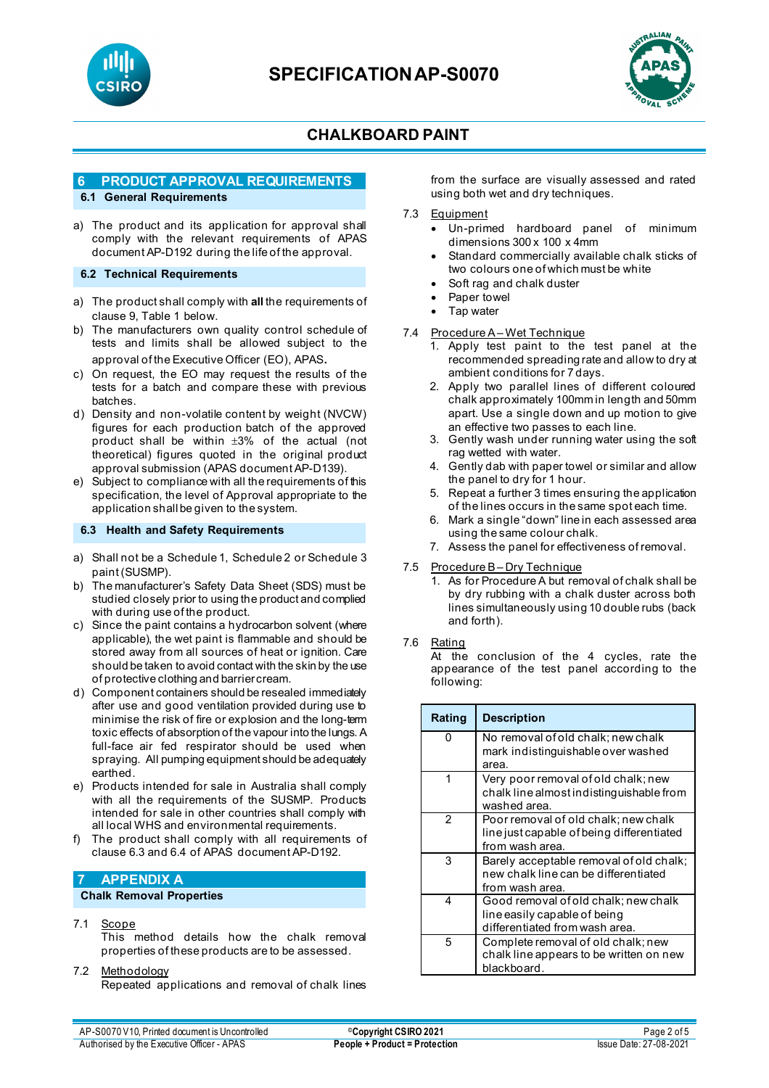



### **6 PRODUCT APPROVAL REQUIREMENTS**

### **6.1 General Requirements**

a) The product and its application for approval shall comply with the relevant requirements of APAS document AP-D192 during the life of the approval.

#### **6.2 Technical Requirements**

- a) The product shall comply with **all** the requirements of clause 9, Table 1 below.
- b) The manufacturers own quality control schedule of tests and limits shall be allowed subject to the approval of the Executive Officer (EO), APAS.
- c) On request, the EO may request the results of the tests for a batch and compare these with previous batches.
- d) Density and non-volatile content by weight (NVCW) figures for each production batch of the approved product shall be within ±3% of the actual (not theoretical) figures quoted in the original product approval submission (APAS document AP-D139).
- e) Subject to compliance with all the requirements of this specification, the level of Approval appropriate to the application shall be given to the system.

#### **6.3 Health and Safety Requirements**

- a) Shall not be a Schedule 1, Schedule 2 or Schedule 3 paint (SUSMP).
- b) The manufacturer's Safety Data Sheet (SDS) must be studied closely prior to using the product and complied with during use of the product.
- c) Since the paint contains a hydrocarbon solvent (where applicable), the wet paint is flammable and should be stored away from all sources of heat or ignition. Care should be taken to avoid contact with the skin by the use of protective clothing and barrier cream.
- d) Component containers should be resealed immediately after use and good ventilation provided during use to minimise the risk of fire or explosion and the long-term toxic effects of absorption of the vapour into the lungs. A full-face air fed respirator should be used when spraying. All pumping equipment should be adequately earthed.
- e) Products intended for sale in Australia shall comply with all the requirements of the SUSMP. Products intended for sale in other countries shall comply with all local WHS and environmental requirements.
- f) The product shall comply with all requirements of clause 6.3 and 6.4 of APAS document AP-D192.

### **7 APPENDIX A**

#### **Chalk Removal Properties**

7.1 Scope

This method details how the chalk removal properties of these products are to be assessed.

#### 7.2 Methodology

Repeated applications and removal of chalk lines

from the surface are visually assessed and rated using both wet and dry techniques.

#### 7.3 Equipment

- Un-primed hardboard panel of minimum dimensions 300 x 100 x 4mm
- Standard commercially available chalk sticks of two colours one of which must be white
- Soft rag and chalk duster
- Paper towel
- Tap water

#### 7.4 Procedure A – Wet Technique

- 1. Apply test paint to the test panel at the recommended spreading rate and allow to dry at ambient conditions for 7 days.
- 2. Apply two parallel lines of different coloured chalk approximately 100mm in length and 50mm apart. Use a single down and up motion to give an effective two passes to each line.
- 3. Gently wash under running water using the soft rag wetted with water.
- 4. Gently dab with paper towel or similar and allow the panel to dry for 1 hour.
- 5. Repeat a further 3 times ensuring the application of the lines occurs in the same spot each time.
- 6. Mark a single "down" line in each assessed area using the same colour chalk.
- 7. Assess the panel for effectiveness of removal.

# 7.5 Procedure B-Dry Technique<br>1 As for Procedure A but rem

As for Procedure A but removal of chalk shall be by dry rubbing with a chalk duster across both lines simultaneously using 10 double rubs (back and forth).

#### 7.6 Rating

At the conclusion of the 4 cycles, rate the appearance of the test panel according to the following:

| Rating | <b>Description</b>                                                                                     |
|--------|--------------------------------------------------------------------------------------------------------|
| ი      | No removal of old chalk; new chalk<br>mark indistinguishable over washed                               |
|        | area.                                                                                                  |
| 1      | Very poor removal of old chalk; new<br>chalk line almost indistinguishable from<br>washed area.        |
| 2      | Poor removal of old chalk; new chalk<br>line just capable of being differentiated<br>from wash area.   |
| 3      | Barely acceptable removal of old chalk;<br>new chalk line can be differentiated<br>from wash area.     |
| 4      | Good removal of old chalk; new chalk<br>line easily capable of being<br>differentiated from wash area. |
| 5      | Complete removal of old chalk; new<br>chalk line appears to be written on new<br>blackboard.           |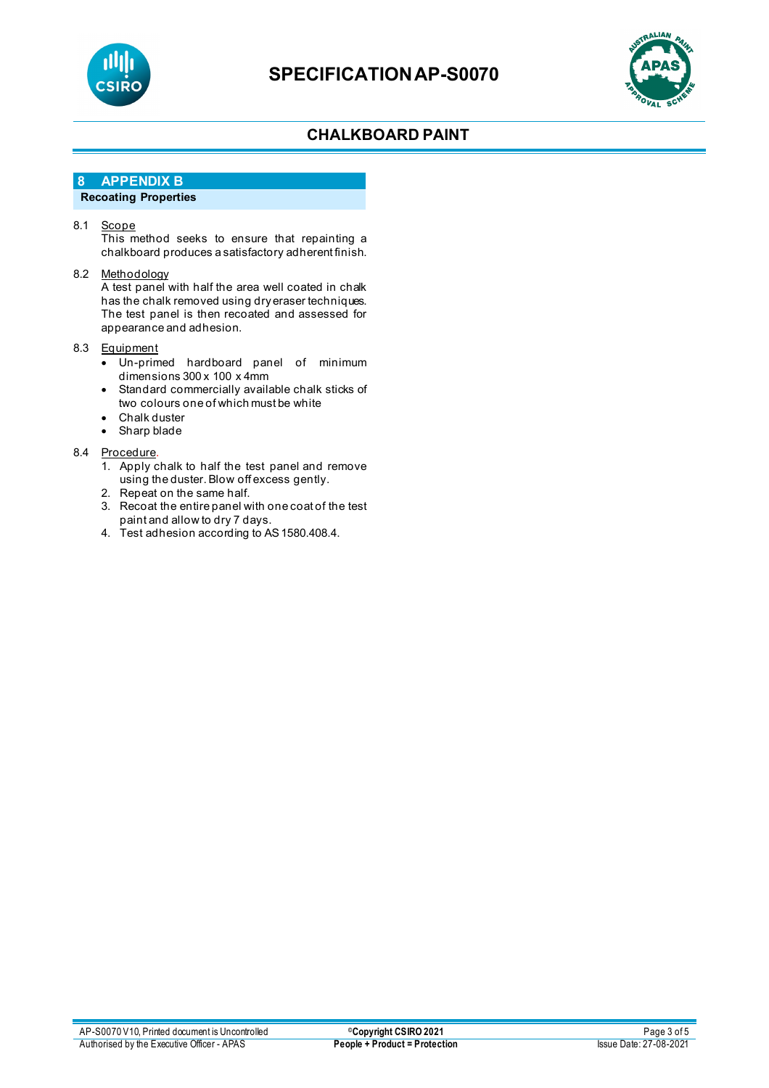



### **8 APPENDIX B**

### **Recoating Properties**

#### 8.1 <u>Scope</u>

This method seeks to ensure that repainting a chalkboard produces a satisfactory adherent finish.

#### 8.2 Methodology

A test panel with half the area well coated in chalk has the chalk removed using dry eraser techniques. The test panel is then recoated and assessed for appearance and adhesion.

#### 8.3 Equipment

- Un-primed hardboard panel of minimum dimensions 300 x 100 x 4mm
- Standard commercially available chalk sticks of two colours one of which must be white
- Chalk duster
- Sharp blade

#### 8.4 Procedure.

- 1. Apply chalk to half the test panel and remove using the duster. Blow off excess gently.
- 2. Repeat on the same half.
- 3. Recoat the entire panel with one coat of the test paint and allow to dry 7 days.
- 4. Test adhesion according to AS 1580.408.4.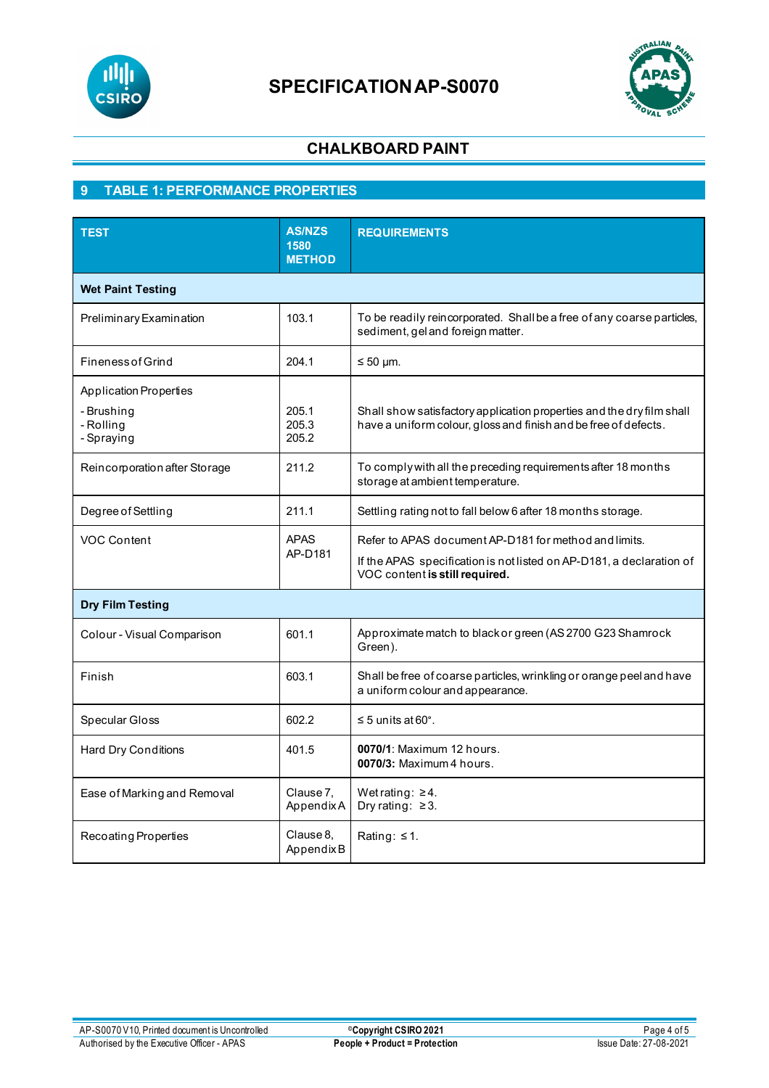



# **9 TABLE 1: PERFORMANCE PROPERTIES**

| <b>TEST</b>                                                            | <b>AS/NZS</b><br>1580<br><b>METHOD</b> | <b>REQUIREMENTS</b>                                                                                                                                             |  |  |  |
|------------------------------------------------------------------------|----------------------------------------|-----------------------------------------------------------------------------------------------------------------------------------------------------------------|--|--|--|
| <b>Wet Paint Testing</b>                                               |                                        |                                                                                                                                                                 |  |  |  |
| Preliminary Examination                                                | 103.1                                  | To be readily reincorporated. Shall be a free of any coarse particles,<br>sediment, gel and foreign matter.                                                     |  |  |  |
| <b>Fineness of Grind</b>                                               | 204.1                                  | $\leq 50$ µm.                                                                                                                                                   |  |  |  |
| <b>Application Properties</b><br>- Brushing<br>- Rolling<br>- Spraying | 205.1<br>205.3<br>205.2                | Shall show satisfactory application properties and the dry film shall<br>have a uniform colour, gloss and finish and be free of defects.                        |  |  |  |
| Reincorporation after Storage                                          | 211.2                                  | To comply with all the preceding requirements after 18 months<br>storage at ambient temperature.                                                                |  |  |  |
| Degree of Settling                                                     | 211.1                                  | Settling rating not to fall below 6 after 18 months storage.                                                                                                    |  |  |  |
| <b>VOC Content</b>                                                     | <b>APAS</b><br>AP-D181                 | Refer to APAS document AP-D181 for method and limits.<br>If the APAS specification is not listed on AP-D181, a declaration of<br>VOC content is still required. |  |  |  |
| <b>Dry Film Testing</b>                                                |                                        |                                                                                                                                                                 |  |  |  |
| Colour - Visual Comparison                                             | 601.1                                  | Approximate match to black or green (AS 2700 G23 Shamrock<br>Green).                                                                                            |  |  |  |
| Finish                                                                 | 603.1                                  | Shall be free of coarse particles, wrinkling or orange peel and have<br>a uniform colour and appearance.                                                        |  |  |  |
| Specular Gloss                                                         | 602.2                                  | $\leq$ 5 units at 60°.                                                                                                                                          |  |  |  |
| Hard Dry Conditions                                                    | 401.5                                  | 0070/1: Maximum 12 hours.<br>0070/3: Maximum 4 hours.                                                                                                           |  |  |  |
| Ease of Marking and Removal                                            | Clause 7,<br>AppendixA                 | Wet rating: $\geq 4$ .<br>Dry rating: $\geq 3$ .                                                                                                                |  |  |  |
| Recoating Properties                                                   | Clause 8,<br>AppendixB                 | Rating: $\leq 1$ .                                                                                                                                              |  |  |  |